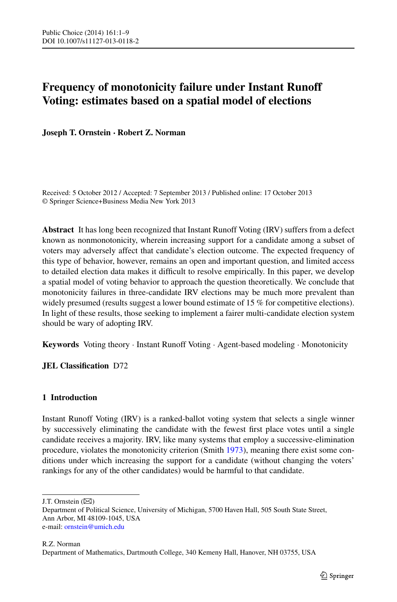# **Frequency of monotonicity failure under Instant Runoff Voting: estimates based on a spatial model of elections**

**Joseph T. Ornstein · Robert Z. Norman**

Received: 5 October 2012 / Accepted: 7 September 2013 / Published online: 17 October 2013 © Springer Science+Business Media New York 2013

**Abstract** It has long been recognized that Instant Runoff Voting (IRV) suffers from a defect known as nonmonotonicity, wherein increasing support for a candidate among a subset of voters may adversely affect that candidate's election outcome. The expected frequency of this type of behavior, however, remains an open and important question, and limited access to detailed election data makes it difficult to resolve empirically. In this paper, we develop a spatial model of voting behavior to approach the question theoretically. We conclude that monotonicity failures in three-candidate IRV elections may be much more prevalent than widely presumed (results suggest a lower bound estimate of 15 % for competitive elections). In light of these results, those seeking to implement a fairer multi-candidate election system should be wary of adopting IRV.

<span id="page-0-0"></span>**Keywords** Voting theory · Instant Runoff Voting · Agent-based modeling · Monotonicity

**JEL Classification** D72

# **1 Introduction**

Instant Runoff Voting (IRV) is a ranked-ballot voting system that selects a single winner by successively eliminating the candidate with the fewest first place votes until a single candidate receives a majority. IRV, like many systems that employ a successive-elimination procedure, violates the monotonicity criterion (Smith [1973](#page-8-0)), meaning there exist some conditions under which increasing the support for a candidate (without changing the voters' rankings for any of the other candidates) would be harmful to that candidate.

R.Z. Norman Department of Mathematics, Dartmouth College, 340 Kemeny Hall, Hanover, NH 03755, USA

J.T. Ornstein  $(\boxtimes)$ 

Department of Political Science, University of Michigan, 5700 Haven Hall, 505 South State Street, Ann Arbor, MI 48109-1045, USA e-mail: [ornstein@umich.edu](mailto:ornstein@umich.edu)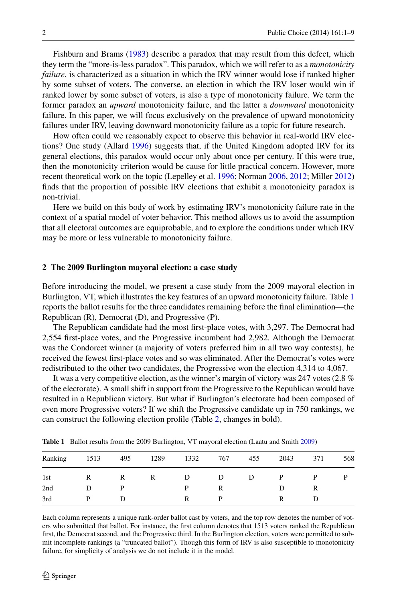Fishburn and Brams ([1983\)](#page-8-1) describe a paradox that may result from this defect, which they term the "more-is-less paradox". This paradox, which we will refer to as a *monotonicity failure*, is characterized as a situation in which the IRV winner would lose if ranked higher by some subset of voters. The converse, an election in which the IRV loser would win if ranked lower by some subset of voters, is also a type of monotonicity failure. We term the former paradox an *upward* monotonicity failure, and the latter a *downward* monotonicity failure. In this paper, we will focus exclusively on the prevalence of upward monotonicity failures under IRV, leaving downward monotonicity failure as a topic for future research.

How often could we reasonably expect to observe this behavior in real-world IRV elections? One study (Allard [1996\)](#page-8-2) suggests that, if the United Kingdom adopted IRV for its general elections, this paradox would occur only about once per century. If this were true, then the monotonicity criterion would be cause for little practical concern. However, more recent theoretical work on the topic (Lepelley et al. [1996;](#page-8-3) Norman [2006](#page-8-4), [2012;](#page-8-5) Miller [2012](#page-8-6)) finds that the proportion of possible IRV elections that exhibit a monotonicity paradox is non-trivial.

Here we build on this body of work by estimating IRV's monotonicity failure rate in the context of a spatial model of voter behavior. This method allows us to avoid the assumption that all electoral outcomes are equiprobable, and to explore the conditions under which IRV may be more or less vulnerable to monotonicity failure.

## **2 The 2009 Burlington mayoral election: a case study**

Before introducing the model, we present a case study from the 2009 mayoral election in Burlington, VT, which illustrates the key features of an upward monotonicity failure. Table [1](#page-1-0) reports the ballot results for the three candidates remaining before the final elimination—the Republican (R), Democrat (D), and Progressive (P).

The Republican candidate had the most first-place votes, with 3,297. The Democrat had 2,554 first-place votes, and the Progressive incumbent had 2,982. Although the Democrat was the Condorcet winner (a majority of voters preferred him in all two way contests), he received the fewest first-place votes and so was eliminated. After the Democrat's votes were redistributed to the other two candidates, the Progressive won the election 4,314 to 4,067.

<span id="page-1-0"></span>It was a very competitive election, as the winner's margin of victory was 247 votes (2.8 % of the electorate). A small shift in support from the Progressive to the Republican would have resulted in a Republican victory. But what if Burlington's electorate had been composed of even more Progressive voters? If we shift the Progressive candidate up in 750 rankings, we can construct the following election profile (Table [2,](#page-2-0) changes in bold).

| Ranking | 1513 | 495 | 1289 | 1332 | 767 | 455 | 2043 | 371 | 568 |
|---------|------|-----|------|------|-----|-----|------|-----|-----|
| 1st     | R    | R   | R    | D    | D   | D   | P    | P   | D   |
| 2nd     | D    |     |      | Р    | R   |     | Ð    | R   |     |
| 3rd     |      | Ð   |      | R    | D   |     |      | Ð   |     |

**Table 1** Ballot results from the 2009 Burlington, VT mayoral election (Laatu and Smith [2009\)](#page-8-7)

Each column represents a unique rank-order ballot cast by voters, and the top row denotes the number of voters who submitted that ballot. For instance, the first column denotes that 1513 voters ranked the Republican first, the Democrat second, and the Progressive third. In the Burlington election, voters were permitted to submit incomplete rankings (a "truncated ballot"). Though this form of IRV is also susceptible to monotonicity failure, for simplicity of analysis we do not include it in the model.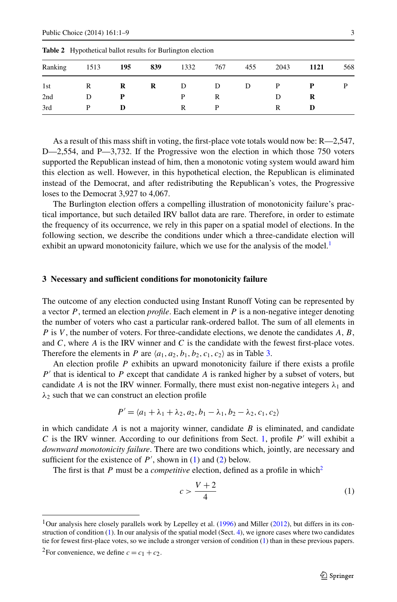| Ranking | 1513 | 195 | 839 | 1332 | 767 | 455 | 2043 | 1121 | 568 |
|---------|------|-----|-----|------|-----|-----|------|------|-----|
| 1st     | R    | R   | R   | D    | D   | D   |      |      | D   |
| 2nd     | D    | P   |     |      | R   |     | D    | R    |     |
| 3rd     | D    | D   |     |      |     |     |      |      |     |

<span id="page-2-0"></span>**Table 2** Hypothetical ballot results for Burlington election

As a result of this mass shift in voting, the first-place vote totals would now be: R—2,547, D—2,554, and P—3,732. If the Progressive won the election in which those 750 voters supported the Republican instead of him, then a monotonic voting system would award him this election as well. However, in this hypothetical election, the Republican is eliminated instead of the Democrat, and after redistributing the Republican's votes, the Progressive loses to the Democrat 3,927 to 4,067.

<span id="page-2-4"></span>The Burlington election offers a compelling illustration of monotonicity failure's practical importance, but such detailed IRV ballot data are rare. Therefore, in order to estimate the frequency of its occurrence, we rely in this paper on a spatial model of elections. In the following section, we describe the conditions under which a three-candidate election will exhibit an upward monotonicity failure, which we use for the analysis of the model.<sup>[1](#page-2-1)</sup>

## **3 Necessary and sufficient conditions for monotonicity failure**

The outcome of any election conducted using Instant Runoff Voting can be represented by a vector *P* , termed an election *profile*. Each element in *P* is a non-negative integer denoting the number of voters who cast a particular rank-ordered ballot. The sum of all elements in *P* is *V* , the number of voters. For three-candidate elections, we denote the candidates *A*, *B*, and *C*, where *A* is the IRV winner and *C* is the candidate with the fewest first-place votes. Therefore the elements in *P* are  $\langle a_1, a_2, b_1, b_2, c_1, c_2 \rangle$  as in Table [3](#page-3-0).

An election profile *P* exhibits an upward monotonicity failure if there exists a profile *P* that is identical to *P* except that candidate *A* is ranked higher by a subset of voters, but candidate *A* is not the IRV winner. Formally, there must exist non-negative integers  $\lambda_1$  and  $\lambda_2$  such that we can construct an election profile

<span id="page-2-2"></span>
$$
P' = \langle a_1 + \lambda_1 + \lambda_2, a_2, b_1 - \lambda_1, b_2 - \lambda_2, c_1, c_2 \rangle
$$

<span id="page-2-1"></span>in which candidate  $\vec{A}$  is not a majority winner, candidate  $\vec{B}$  is eliminated, and candidate *C* is the IRV winner. According to our definitions from Sect. [1,](#page-0-0) profile  $P'$  will exhibit a *downward monotonicity failure*. There are two conditions which, jointly, are necessary and sufficient for the existence of  $P'$ , shown in [\(1](#page-2-2)) and ([2\)](#page-3-1) below.

<span id="page-2-3"></span>The first is that *P* must be a *competitive* election, defined as a profile in which<sup>2</sup>

$$
c > \frac{V+2}{4} \tag{1}
$$

<sup>2</sup>For convenience, we define  $c = c_1 + c_2$ .

<sup>&</sup>lt;sup>1</sup>Our analysis here closely parallels work by Lepelley et al.  $(1996)$  $(1996)$  and Miller [\(2012](#page-8-6)), but differs in its construction of condition  $(1)$  $(1)$ . In our analysis of the spatial model (Sect. [4](#page-3-2)), we ignore cases where two candidates tie for fewest first-place votes, so we include a stronger version of condition ([1\)](#page-2-2) than in these previous papers.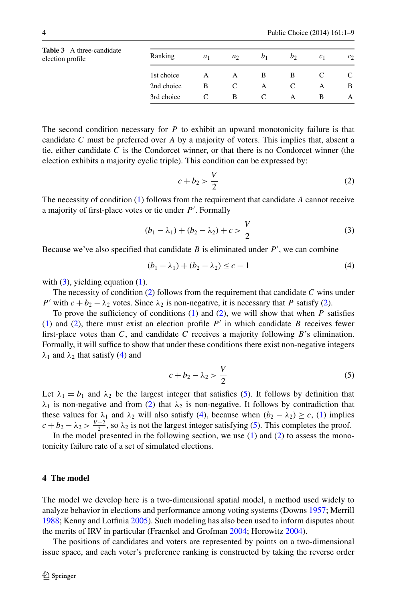<span id="page-3-0"></span>

|                  | <b>Table 3</b> A three-candidate |
|------------------|----------------------------------|
| election profile |                                  |

| <b>Table 3</b> A three-candidate<br>election profile | Ranking    | a <sub>1</sub> | a <sub>2</sub> | b <sub>1</sub> | b | C <sub>1</sub> | c <sub>2</sub> |
|------------------------------------------------------|------------|----------------|----------------|----------------|---|----------------|----------------|
|                                                      | 1st choice | A              | A              | B              | B |                |                |
|                                                      | 2nd choice | в              | C              | A              |   |                | B              |
|                                                      | 3rd choice |                | B              |                | А |                | А              |

The second condition necessary for  $P$  to exhibit an upward monotonicity failure is that candidate *C* must be preferred over *A* by a majority of voters. This implies that, absent a tie, either candidate *C* is the Condorcet winner, or that there is no Condorcet winner (the election exhibits a majority cyclic triple). This condition can be expressed by:

<span id="page-3-4"></span><span id="page-3-3"></span><span id="page-3-1"></span>
$$
c + b_2 > \frac{V}{2} \tag{2}
$$

The necessity of condition ([1](#page-2-2)) follows from the requirement that candidate *A* cannot receive a majority of first-place votes or tie under *P* . Formally

$$
(b_1 - \lambda_1) + (b_2 - \lambda_2) + c > \frac{V}{2}
$$
 (3)

Because we've also specified that candidate  $B$  is eliminated under  $P'$ , we can combine

<span id="page-3-5"></span>
$$
(b_1 - \lambda_1) + (b_2 - \lambda_2) \le c - 1 \tag{4}
$$

with  $(3)$ , yielding equation  $(1)$  $(1)$ .

The necessity of condition ([2\)](#page-3-1) follows from the requirement that candidate *C* wins under *P*' with  $c + b_2 - \lambda_2$  votes. Since  $\lambda_2$  is non-negative, it is necessary that *P* satisfy [\(2](#page-3-1)).

To prove the sufficiency of conditions ([1](#page-2-2)) and ([2](#page-3-1)), we will show that when *P* satisfies ([1\)](#page-2-2) and ([2](#page-3-1)), there must exist an election profile  $P'$  in which candidate  $B$  receives fewer first-place votes than *C*, and candidate *C* receives a majority following *B*'s elimination. Formally, it will suffice to show that under these conditions there exist non-negative integers  $λ_1$  and  $λ_2$  that satisfy [\(4](#page-3-4)) and

$$
c + b_2 - \lambda_2 > \frac{V}{2} \tag{5}
$$

<span id="page-3-2"></span>Let  $\lambda_1 = b_1$  and  $\lambda_2$  be the largest integer that satisfies [\(5](#page-3-5)). It follows by definition that  $\lambda_1$  is non-negative and from [\(2\)](#page-3-1) that  $\lambda_2$  is non-negative. It follows by contradiction that these values for  $\lambda_1$  and  $\lambda_2$  will also satisfy ([4](#page-3-4)), because when  $(b_2 - \lambda_2) \ge c$ , [\(1](#page-2-2)) implies  $c + b_2 - \lambda_2 > \frac{V+2}{2}$ , so  $\lambda_2$  is not the largest integer satisfying [\(5](#page-3-5)). This completes the proof.

In the model presented in the following section, we use  $(1)$  $(1)$  and  $(2)$  $(2)$  to assess the monotonicity failure rate of a set of simulated elections.

## **4 The model**

The model we develop here is a two-dimensional spatial model, a method used widely to analyze behavior in elections and performance among voting systems (Downs [1957;](#page-8-8) Merrill [1988;](#page-8-9) Kenny and Lotfinia [2005\)](#page-8-10). Such modeling has also been used to inform disputes about the merits of IRV in particular (Fraenkel and Grofman [2004](#page-8-11); Horowitz [2004](#page-8-12)).

The positions of candidates and voters are represented by points on a two-dimensional issue space, and each voter's preference ranking is constructed by taking the reverse order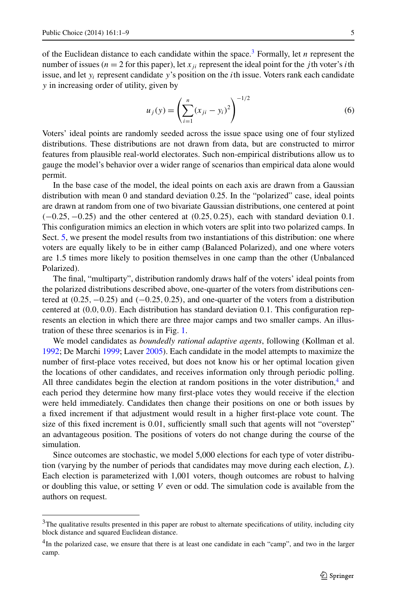of the Euclidean distance to each candidate within the space.<sup>3</sup> Formally, let *n* represent the number of issues ( $n = 2$  for this paper), let  $x_{ji}$  represent the ideal point for the *j* th voter's *i*th issue, and let *yi* represent candidate *y*'s position on the *i*th issue. Voters rank each candidate *y* in increasing order of utility, given by

$$
u_j(y) = \left(\sum_{i=1}^n (x_{ji} - y_i)^2\right)^{-1/2}
$$
 (6)

Voters' ideal points are randomly seeded across the issue space using one of four stylized distributions. These distributions are not drawn from data, but are constructed to mirror features from plausible real-world electorates. Such non-empirical distributions allow us to gauge the model's behavior over a wider range of scenarios than empirical data alone would permit.

In the base case of the model, the ideal points on each axis are drawn from a Gaussian distribution with mean 0 and standard deviation 0.25. In the "polarized" case, ideal points are drawn at random from one of two bivariate Gaussian distributions, one centered at point *(*−0*.*25*,*−0*.*25*)* and the other centered at *(*0*.*25*,* 0*.*25*)*, each with standard deviation 0.1. This configuration mimics an election in which voters are split into two polarized camps. In Sect. [5,](#page-5-0) we present the model results from two instantiations of this distribution: one where voters are equally likely to be in either camp (Balanced Polarized), and one where voters are 1.5 times more likely to position themselves in one camp than the other (Unbalanced Polarized).

The final, "multiparty", distribution randomly draws half of the voters' ideal points from the polarized distributions described above, one-quarter of the voters from distributions centered at *(*0*.*25*,*−0*.*25*)* and *(*−0*.*25*,* 0*.*25*)*, and one-quarter of the voters from a distribution centered at *(*0*.*0*,* 0*.*0*)*. Each distribution has standard deviation 0.1. This configuration represents an election in which there are three major camps and two smaller camps. An illustration of these three scenarios is in Fig. [1](#page-5-1).

We model candidates as *boundedly rational adaptive agents*, following (Kollman et al. [1992;](#page-8-13) De Marchi [1999;](#page-8-14) Laver [2005](#page-8-15)). Each candidate in the model attempts to maximize the number of first-place votes received, but does not know his or her optimal location given the locations of other candidates, and receives information only through periodic polling. All three candidates begin the election at random positions in the voter distribution, $4$  and each period they determine how many first-place votes they would receive if the election were held immediately. Candidates then change their positions on one or both issues by a fixed increment if that adjustment would result in a higher first-place vote count. The size of this fixed increment is 0.01, sufficiently small such that agents will not "overstep" an advantageous position. The positions of voters do not change during the course of the simulation.

<span id="page-4-1"></span><span id="page-4-0"></span>Since outcomes are stochastic, we model 5,000 elections for each type of voter distribution (varying by the number of periods that candidates may move during each election, *L*). Each election is parameterized with 1,001 voters, though outcomes are robust to halving or doubling this value, or setting *V* even or odd. The simulation code is available from the authors on request.

<sup>&</sup>lt;sup>3</sup>The qualitative results presented in this paper are robust to alternate specifications of utility, including city block distance and squared Euclidean distance.

<sup>&</sup>lt;sup>4</sup>In the polarized case, we ensure that there is at least one candidate in each "camp", and two in the larger camp.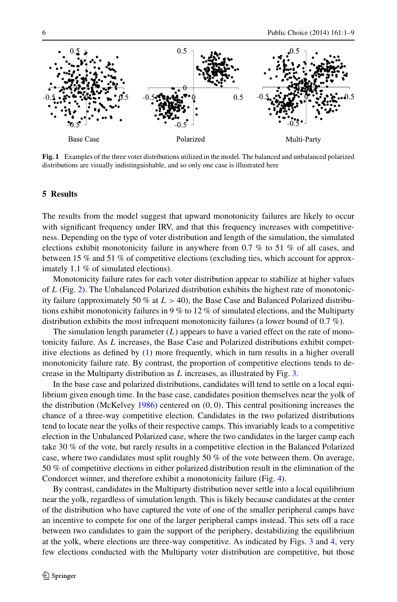<span id="page-5-1"></span>

<span id="page-5-0"></span>**Fig. 1** Examples of the three voter distributions utilized in the model. The balanced and unbalanced polarized distributions are visually indistinguishable, and so only one case is illustrated here

#### **5 Results**

The results from the model suggest that upward monotonicity failures are likely to occur with significant frequency under IRV, and that this frequency increases with competitiveness. Depending on the type of voter distribution and length of the simulation, the simulated elections exhibit monotonicity failure in anywhere from 0.7 % to 51 % of all cases, and between 15 % and 51 % of competitive elections (excluding ties, which account for approximately 1.1 % of simulated elections).

Monotonicity failure rates for each voter distribution appear to stabilize at higher values of *L* (Fig. [2](#page-6-0)). The Unbalanced Polarized distribution exhibits the highest rate of monotonicity failure (approximately 50 % at *L >* 40), the Base Case and Balanced Polarized distributions exhibit monotonicity failures in 9 % to 12 % of simulated elections, and the Multiparty distribution exhibits the most infrequent monotonicity failures (a lower bound of  $0.7 \%$ ).

The simulation length parameter  $(L)$  appears to have a varied effect on the rate of monotonicity failure. As *L* increases, the Base Case and Polarized distributions exhibit competitive elections as defined by ([1\)](#page-2-2) more frequently, which in turn results in a higher overall monotonicity failure rate. By contrast, the proportion of competitive elections tends to decrease in the Multiparty distribution as *L* increases, as illustrated by Fig. [3](#page-6-1).

In the base case and polarized distributions, candidates will tend to settle on a local equilibrium given enough time. In the base case, candidates position themselves near the yolk of the distribution (McKelvey [1986](#page-8-16)) centered on *(*0*,* 0*)*. This central positioning increases the chance of a three-way competitive election. Candidates in the two polarized distributions tend to locate near the yolks of their respective camps. This invariably leads to a competitive election in the Unbalanced Polarized case, where the two candidates in the larger camp each take 30 % of the vote, but rarely results in a competitive election in the Balanced Polarized case, where two candidates must split roughly 50 % of the vote between them. On average, 50 % of competitive elections in either polarized distribution result in the elimination of the Condorcet winner, and therefore exhibit a monotonicity failure (Fig. [4\)](#page-6-2).

By contrast, candidates in the Multiparty distribution never settle into a local equilibrium near the yolk, regardless of simulation length. This is likely because candidates at the center of the distribution who have captured the vote of one of the smaller peripheral camps have an incentive to compete for one of the larger peripheral camps instead. This sets off a race between two candidates to gain the support of the periphery, destabilizing the equilibrium at the yolk, where elections are three-way competitive. As indicated by Figs. [3](#page-6-1) and [4,](#page-6-2) very few elections conducted with the Multiparty voter distribution are competitive, but those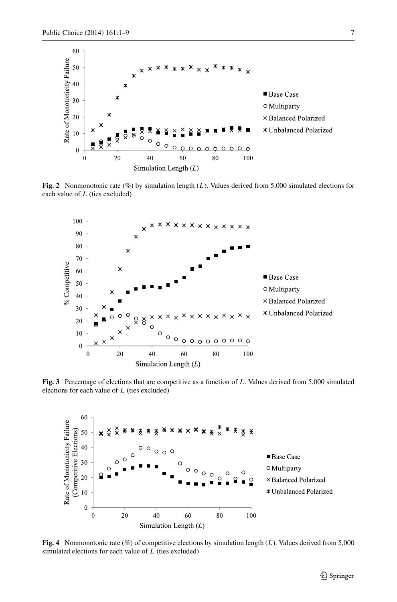<span id="page-6-0"></span>

**Fig. 2** Nonmonotonic rate (%) by simulation length (*L*). Values derived from 5,000 simulated elections for each value of *L* (ties excluded)



<span id="page-6-1"></span>**Fig. 3** Percentage of elections that are competitive as a function of *L*. Values derived from 5,000 simulated elections for each value of *L* (ties excluded)

<span id="page-6-2"></span>

**Fig. 4** Nonmonotonic rate (%) of competitive elections by simulation length (*L*). Values derived from 5,000 simulated elections for each value of *L* (ties excluded)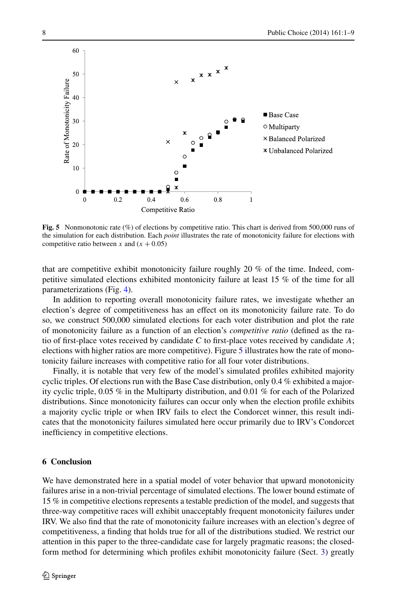

<span id="page-7-0"></span>**Fig. 5** Nonmonotonic rate (%) of elections by competitive ratio. This chart is derived from 500,000 runs of the simulation for each distribution. Each *point* illustrates the rate of monotonicity failure for elections with competitive ratio between *x* and  $(x + 0.05)$ 

that are competitive exhibit monotonicity failure roughly 20 % of the time. Indeed, competitive simulated elections exhibited montonicity failure at least 15 % of the time for all parameterizations (Fig. [4\)](#page-6-2).

In addition to reporting overall monotonicity failure rates, we investigate whether an election's degree of competitiveness has an effect on its monotonicity failure rate. To do so, we construct 500,000 simulated elections for each voter distribution and plot the rate of monotonicity failure as a function of an election's *competitive ratio* (defined as the ratio of first-place votes received by candidate *C* to first-place votes received by candidate *A*; elections with higher ratios are more competitive). Figure [5](#page-7-0) illustrates how the rate of monotonicity failure increases with competitive ratio for all four voter distributions.

Finally, it is notable that very few of the model's simulated profiles exhibited majority cyclic triples. Of elections run with the Base Case distribution, only  $0.4\%$  exhibited a majority cyclic triple, 0.05 % in the Multiparty distribution, and 0.01 % for each of the Polarized distributions. Since monotonicity failures can occur only when the election profile exhibits a majority cyclic triple or when IRV fails to elect the Condorcet winner, this result indicates that the monotonicity failures simulated here occur primarily due to IRV's Condorcet inefficiency in competitive elections.

## **6 Conclusion**

We have demonstrated here in a spatial model of voter behavior that upward monotonicity failures arise in a non-trivial percentage of simulated elections. The lower bound estimate of 15 % in competitive elections represents a testable prediction of the model, and suggests that three-way competitive races will exhibit unacceptably frequent monotonicity failures under IRV. We also find that the rate of monotonicity failure increases with an election's degree of competitiveness, a finding that holds true for all of the distributions studied. We restrict our attention in this paper to the three-candidate case for largely pragmatic reasons; the closedform method for determining which profiles exhibit monotonicity failure (Sect. [3](#page-2-4)) greatly